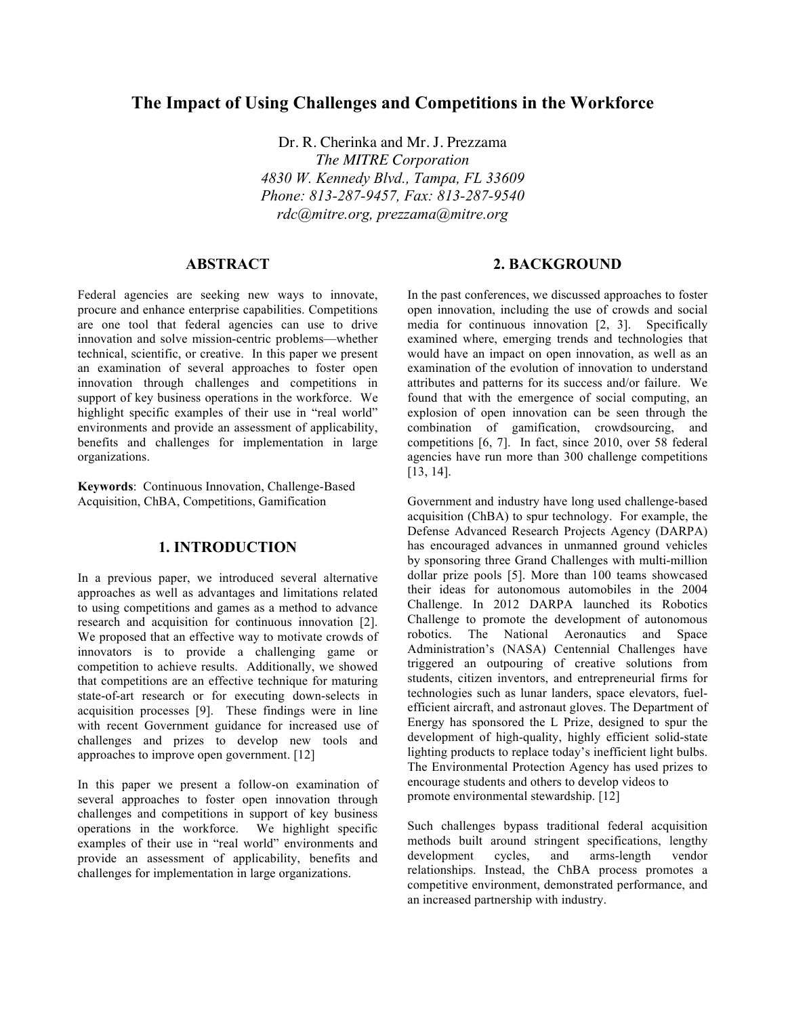# **The Impact of Using Challenges and Competitions in the Workforce**

Dr. R. Cherinka and Mr. J. Prezzama *The MITRE Corporation 4830 W. Kennedy Blvd., Tampa, FL 33609 Phone: 813-287-9457, Fax: 813-287-9540 rdc@mitre.org, prezzama@mitre.org*

#### **ABSTRACT**

Federal agencies are seeking new ways to innovate, procure and enhance enterprise capabilities. Competitions are one tool that federal agencies can use to drive innovation and solve mission-centric problems—whether technical, scientific, or creative. In this paper we present an examination of several approaches to foster open innovation through challenges and competitions in support of key business operations in the workforce. We highlight specific examples of their use in "real world" environments and provide an assessment of applicability, benefits and challenges for implementation in large organizations.

**Keywords**: Continuous Innovation, Challenge-Based Acquisition, ChBA, Competitions, Gamification

#### **1. INTRODUCTION**

In a previous paper, we introduced several alternative approaches as well as advantages and limitations related to using competitions and games as a method to advance research and acquisition for continuous innovation [2]. We proposed that an effective way to motivate crowds of innovators is to provide a challenging game or competition to achieve results. Additionally, we showed that competitions are an effective technique for maturing state-of-art research or for executing down-selects in acquisition processes [9]. These findings were in line with recent Government guidance for increased use of challenges and prizes to develop new tools and approaches to improve open government. [12]

In this paper we present a follow-on examination of several approaches to foster open innovation through challenges and competitions in support of key business operations in the workforce. We highlight specific examples of their use in "real world" environments and provide an assessment of applicability, benefits and challenges for implementation in large organizations.

#### **2. BACKGROUND**

In the past conferences, we discussed approaches to foster open innovation, including the use of crowds and social media for continuous innovation [2, 3]. Specifically examined where, emerging trends and technologies that would have an impact on open innovation, as well as an examination of the evolution of innovation to understand attributes and patterns for its success and/or failure. We found that with the emergence of social computing, an explosion of open innovation can be seen through the combination of gamification, crowdsourcing, and competitions [6, 7]. In fact, since 2010, over 58 federal agencies have run more than 300 challenge competitions [13, 14].

Government and industry have long used challenge-based acquisition (ChBA) to spur technology. For example, the Defense Advanced Research Projects Agency (DARPA) has encouraged advances in unmanned ground vehicles by sponsoring three Grand Challenges with multi-million dollar prize pools [5]. More than 100 teams showcased their ideas for autonomous automobiles in the 2004 Challenge. In 2012 DARPA launched its Robotics Challenge to promote the development of autonomous robotics. The National Aeronautics and Space Administration's (NASA) Centennial Challenges have triggered an outpouring of creative solutions from students, citizen inventors, and entrepreneurial firms for technologies such as lunar landers, space elevators, fuelefficient aircraft, and astronaut gloves. The Department of Energy has sponsored the L Prize, designed to spur the development of high-quality, highly efficient solid-state lighting products to replace today's inefficient light bulbs. The Environmental Protection Agency has used prizes to encourage students and others to develop videos to promote environmental stewardship. [12]

Such challenges bypass traditional federal acquisition methods built around stringent specifications, lengthy development cycles, and arms-length vendor relationships. Instead, the ChBA process promotes a competitive environment, demonstrated performance, and an increased partnership with industry.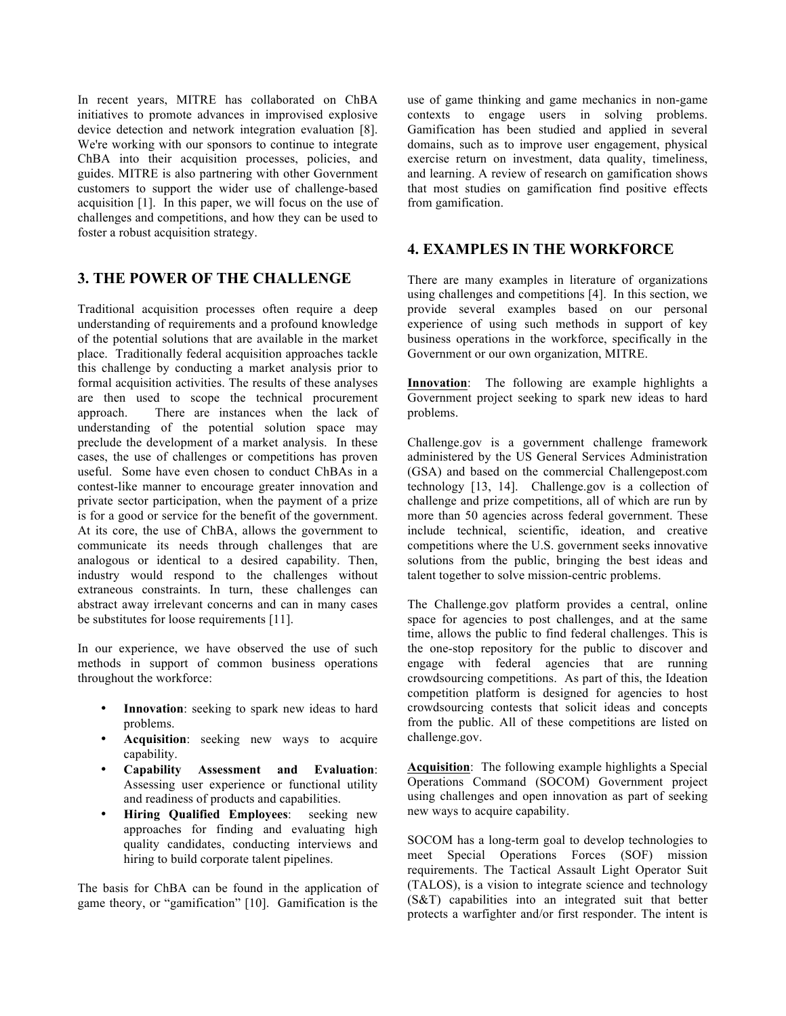In recent years, MITRE has collaborated on ChBA initiatives to promote advances in improvised explosive device detection and network integration evaluation [8]. We're working with our sponsors to continue to integrate ChBA into their acquisition processes, policies, and guides. MITRE is also partnering with other Government customers to support the wider use of challenge-based acquisition [1]. In this paper, we will focus on the use of challenges and competitions, and how they can be used to foster a robust acquisition strategy.

## **3. THE POWER OF THE CHALLENGE**

Traditional acquisition processes often require a deep understanding of requirements and a profound knowledge of the potential solutions that are available in the market place. Traditionally federal acquisition approaches tackle this challenge by conducting a market analysis prior to formal acquisition activities. The results of these analyses are then used to scope the technical procurement approach. There are instances when the lack of understanding of the potential solution space may preclude the development of a market analysis. In these cases, the use of challenges or competitions has proven useful. Some have even chosen to conduct ChBAs in a contest-like manner to encourage greater innovation and private sector participation, when the payment of a prize is for a good or service for the benefit of the government. At its core, the use of ChBA, allows the government to communicate its needs through challenges that are analogous or identical to a desired capability. Then, industry would respond to the challenges without extraneous constraints. In turn, these challenges can abstract away irrelevant concerns and can in many cases be substitutes for loose requirements [11].

In our experience, we have observed the use of such methods in support of common business operations throughout the workforce:

- Innovation: seeking to spark new ideas to hard problems.
- **Acquisition**: seeking new ways to acquire capability.
- **Capability Assessment and Evaluation**: Assessing user experience or functional utility and readiness of products and capabilities.
- **Hiring Qualified Employees**: seeking new approaches for finding and evaluating high quality candidates, conducting interviews and hiring to build corporate talent pipelines.

The basis for ChBA can be found in the application of game theory, or "gamification" [10]. Gamification is the

use of game thinking and game mechanics in non-game contexts to engage users in solving problems. Gamification has been studied and applied in several domains, such as to improve user engagement, physical exercise return on investment, data quality, timeliness, and learning. A review of research on gamification shows that most studies on gamification find positive effects from gamification.

### **4. EXAMPLES IN THE WORKFORCE**

There are many examples in literature of organizations using challenges and competitions [4]. In this section, we provide several examples based on our personal experience of using such methods in support of key business operations in the workforce, specifically in the Government or our own organization, MITRE.

**Innovation**: The following are example highlights a Government project seeking to spark new ideas to hard problems.

Challenge.gov is a government challenge framework administered by the US General Services Administration (GSA) and based on the commercial Challengepost.com technology [13, 14]. Challenge.gov is a collection of challenge and prize competitions, all of which are run by more than 50 agencies across federal government. These include technical, scientific, ideation, and creative competitions where the U.S. government seeks innovative solutions from the public, bringing the best ideas and talent together to solve mission-centric problems.

The Challenge.gov platform provides a central, online space for agencies to post challenges, and at the same time, allows the public to find federal challenges. This is the one-stop repository for the public to discover and engage with federal agencies that are running crowdsourcing competitions. As part of this, the Ideation competition platform is designed for agencies to host crowdsourcing contests that solicit ideas and concepts from the public. All of these competitions are listed on challenge.gov.

**Acquisition**: The following example highlights a Special Operations Command (SOCOM) Government project using challenges and open innovation as part of seeking new ways to acquire capability.

SOCOM has a long-term goal to develop technologies to meet Special Operations Forces (SOF) mission requirements. The Tactical Assault Light Operator Suit (TALOS), is a vision to integrate science and technology (S&T) capabilities into an integrated suit that better protects a warfighter and/or first responder. The intent is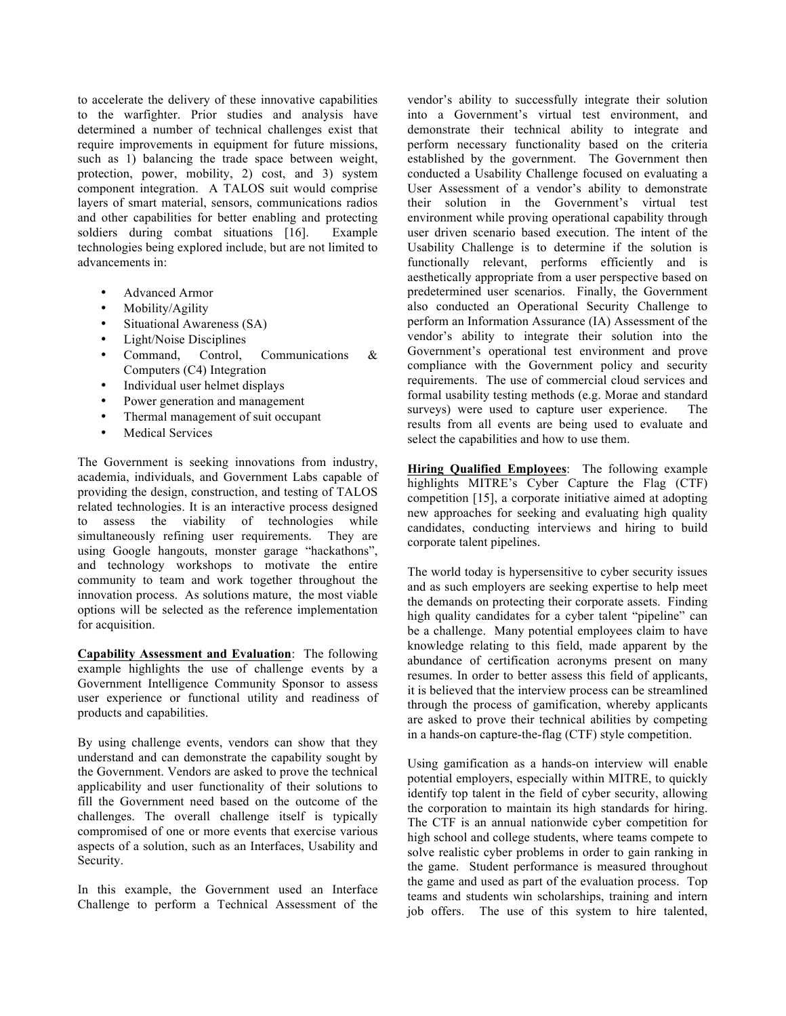to accelerate the delivery of these innovative capabilities to the warfighter. Prior studies and analysis have determined a number of technical challenges exist that require improvements in equipment for future missions, such as 1) balancing the trade space between weight, protection, power, mobility, 2) cost, and 3) system component integration. A TALOS suit would comprise layers of smart material, sensors, communications radios and other capabilities for better enabling and protecting soldiers during combat situations [16]. Example technologies being explored include, but are not limited to advancements in:

- Advanced Armor
- Mobility/Agility
- Situational Awareness (SA)
- Light/Noise Disciplines<br>Command, Control,
- Command, Control, Communications & Computers (C4) Integration
- Individual user helmet displays
- Power generation and management
- Thermal management of suit occupant
- **Medical Services**

The Government is seeking innovations from industry, academia, individuals, and Government Labs capable of providing the design, construction, and testing of TALOS related technologies. It is an interactive process designed to assess the viability of technologies while simultaneously refining user requirements. They are using Google hangouts, monster garage "hackathons", and technology workshops to motivate the entire community to team and work together throughout the innovation process. As solutions mature, the most viable options will be selected as the reference implementation for acquisition.

**Capability Assessment and Evaluation**: The following example highlights the use of challenge events by a Government Intelligence Community Sponsor to assess user experience or functional utility and readiness of products and capabilities.

By using challenge events, vendors can show that they understand and can demonstrate the capability sought by the Government. Vendors are asked to prove the technical applicability and user functionality of their solutions to fill the Government need based on the outcome of the challenges. The overall challenge itself is typically compromised of one or more events that exercise various aspects of a solution, such as an Interfaces, Usability and Security.

In this example, the Government used an Interface Challenge to perform a Technical Assessment of the

vendor's ability to successfully integrate their solution into a Government's virtual test environment, and demonstrate their technical ability to integrate and perform necessary functionality based on the criteria established by the government. The Government then conducted a Usability Challenge focused on evaluating a User Assessment of a vendor's ability to demonstrate their solution in the Government's virtual test environment while proving operational capability through user driven scenario based execution. The intent of the Usability Challenge is to determine if the solution is functionally relevant, performs efficiently and is aesthetically appropriate from a user perspective based on predetermined user scenarios. Finally, the Government also conducted an Operational Security Challenge to perform an Information Assurance (IA) Assessment of the vendor's ability to integrate their solution into the Government's operational test environment and prove compliance with the Government policy and security requirements. The use of commercial cloud services and formal usability testing methods (e.g. Morae and standard surveys) were used to capture user experience. The results from all events are being used to evaluate and select the capabilities and how to use them.

**Hiring Qualified Employees**: The following example highlights MITRE's Cyber Capture the Flag (CTF) competition [15], a corporate initiative aimed at adopting new approaches for seeking and evaluating high quality candidates, conducting interviews and hiring to build corporate talent pipelines.

The world today is hypersensitive to cyber security issues and as such employers are seeking expertise to help meet the demands on protecting their corporate assets. Finding high quality candidates for a cyber talent "pipeline" can be a challenge. Many potential employees claim to have knowledge relating to this field, made apparent by the abundance of certification acronyms present on many resumes. In order to better assess this field of applicants, it is believed that the interview process can be streamlined through the process of gamification, whereby applicants are asked to prove their technical abilities by competing in a hands-on capture-the-flag (CTF) style competition.

Using gamification as a hands-on interview will enable potential employers, especially within MITRE, to quickly identify top talent in the field of cyber security, allowing the corporation to maintain its high standards for hiring. The CTF is an annual nationwide cyber competition for high school and college students, where teams compete to solve realistic cyber problems in order to gain ranking in the game. Student performance is measured throughout the game and used as part of the evaluation process. Top teams and students win scholarships, training and intern job offers. The use of this system to hire talented,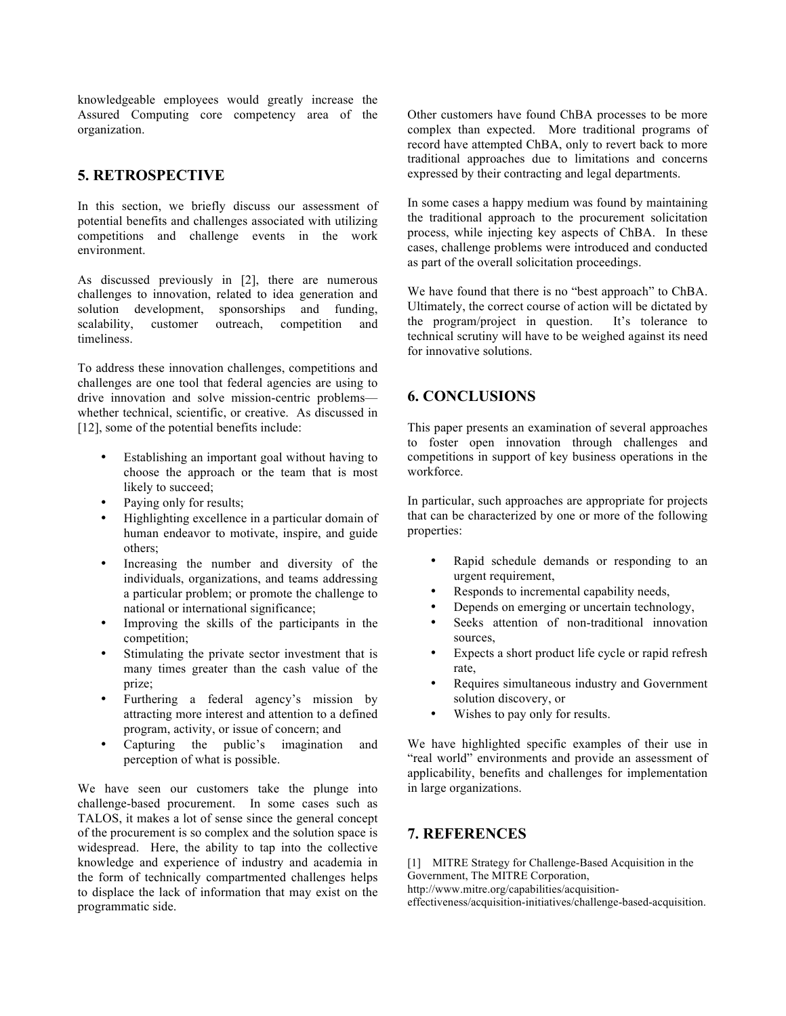knowledgeable employees would greatly increase the Assured Computing core competency area of the organization.

## **5. RETROSPECTIVE**

In this section, we briefly discuss our assessment of potential benefits and challenges associated with utilizing competitions and challenge events in the work environment.

As discussed previously in [2], there are numerous challenges to innovation, related to idea generation and solution development, sponsorships and funding, scalability, customer outreach, competition and timeliness.

To address these innovation challenges, competitions and challenges are one tool that federal agencies are using to drive innovation and solve mission-centric problems whether technical, scientific, or creative. As discussed in [12], some of the potential benefits include:

- Establishing an important goal without having to choose the approach or the team that is most likely to succeed;
- Paying only for results;
- Highlighting excellence in a particular domain of human endeavor to motivate, inspire, and guide others;
- Increasing the number and diversity of the individuals, organizations, and teams addressing a particular problem; or promote the challenge to national or international significance;
- Improving the skills of the participants in the competition;
- Stimulating the private sector investment that is many times greater than the cash value of the prize;
- Furthering a federal agency's mission by attracting more interest and attention to a defined program, activity, or issue of concern; and
- Capturing the public's imagination and perception of what is possible.

We have seen our customers take the plunge into challenge-based procurement. In some cases such as TALOS, it makes a lot of sense since the general concept of the procurement is so complex and the solution space is widespread. Here, the ability to tap into the collective knowledge and experience of industry and academia in the form of technically compartmented challenges helps to displace the lack of information that may exist on the programmatic side.

Other customers have found ChBA processes to be more complex than expected. More traditional programs of record have attempted ChBA, only to revert back to more traditional approaches due to limitations and concerns expressed by their contracting and legal departments.

In some cases a happy medium was found by maintaining the traditional approach to the procurement solicitation process, while injecting key aspects of ChBA. In these cases, challenge problems were introduced and conducted as part of the overall solicitation proceedings.

We have found that there is no "best approach" to ChBA. Ultimately, the correct course of action will be dictated by the program/project in question. It's tolerance to technical scrutiny will have to be weighed against its need for innovative solutions.

# **6. CONCLUSIONS**

This paper presents an examination of several approaches to foster open innovation through challenges and competitions in support of key business operations in the workforce.

In particular, such approaches are appropriate for projects that can be characterized by one or more of the following properties:

- Rapid schedule demands or responding to an urgent requirement,
- Responds to incremental capability needs,
- Depends on emerging or uncertain technology,
- Seeks attention of non-traditional innovation sources,
- Expects a short product life cycle or rapid refresh rate,
- Requires simultaneous industry and Government solution discovery, or
- Wishes to pay only for results.

We have highlighted specific examples of their use in "real world" environments and provide an assessment of applicability, benefits and challenges for implementation in large organizations.

# **7. REFERENCES**

[1] MITRE Strategy for Challenge-Based Acquisition in the Government, The MITRE Corporation, http://www.mitre.org/capabilities/acquisitioneffectiveness/acquisition-initiatives/challenge-based-acquisition.